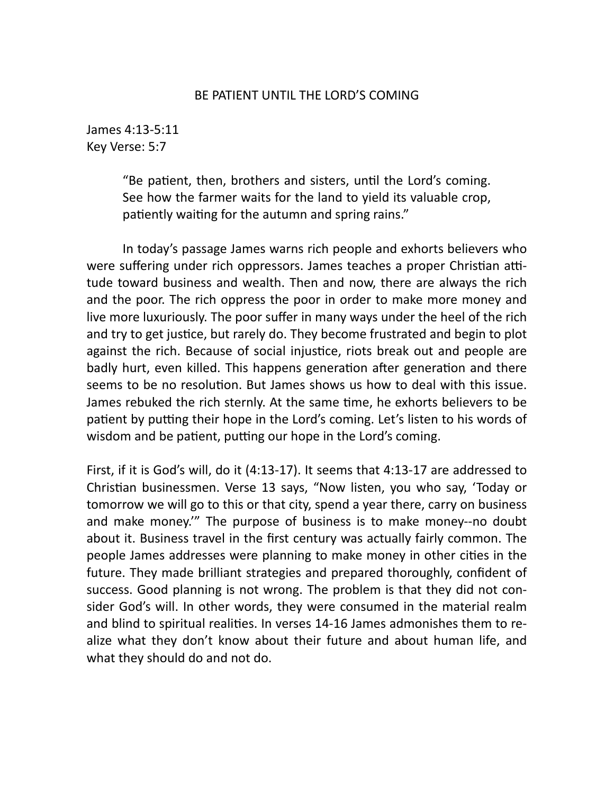## BE PATIENT UNTIL THE LORD'S COMING

James 4:13-5:11 Key Verse: 5:7

> "Be patient, then, brothers and sisters, until the Lord's coming. See how the farmer waits for the land to yield its valuable crop, patiently waiting for the autumn and spring rains."

In today's passage James warns rich people and exhorts believers who were suffering under rich oppressors. James teaches a proper Christian attitude toward business and wealth. Then and now, there are always the rich and the poor. The rich oppress the poor in order to make more money and live more luxuriously. The poor suffer in many ways under the heel of the rich and try to get justice, but rarely do. They become frustrated and begin to plot against the rich. Because of social injustice, riots break out and people are badly hurt, even killed. This happens generation after generation and there seems to be no resolution. But James shows us how to deal with this issue. James rebuked the rich sternly. At the same time, he exhorts believers to be patient by putting their hope in the Lord's coming. Let's listen to his words of wisdom and be patient, putting our hope in the Lord's coming.

First, if it is God's will, do it  $(4:13-17)$ . It seems that  $4:13-17$  are addressed to Christian businessmen. Verse 13 says, "Now listen, you who say, 'Today or tomorrow we will go to this or that city, spend a year there, carry on business and make money." The purpose of business is to make money--no doubt about it. Business travel in the first century was actually fairly common. The people James addresses were planning to make money in other cities in the future. They made brilliant strategies and prepared thoroughly, confident of success. Good planning is not wrong. The problem is that they did not consider God's will. In other words, they were consumed in the material realm and blind to spiritual realities. In verses 14-16 James admonishes them to realize what they don't know about their future and about human life, and what they should do and not do.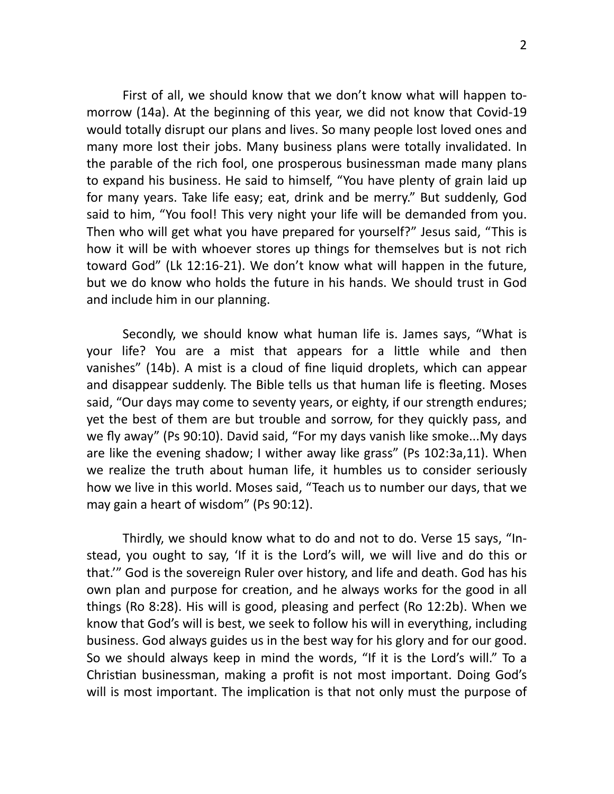First of all, we should know that we don't know what will happen tomorrow (14a). At the beginning of this year, we did not know that Covid-19 would totally disrupt our plans and lives. So many people lost loved ones and many more lost their jobs. Many business plans were totally invalidated. In the parable of the rich fool, one prosperous businessman made many plans to expand his business. He said to himself, "You have plenty of grain laid up for many years. Take life easy; eat, drink and be merry." But suddenly, God said to him, "You fool! This very night your life will be demanded from you. Then who will get what you have prepared for yourself?" Jesus said, "This is how it will be with whoever stores up things for themselves but is not rich toward God" (Lk 12:16-21). We don't know what will happen in the future, but we do know who holds the future in his hands. We should trust in God and include him in our planning.

Secondly, we should know what human life is. James says, "What is your life? You are a mist that appears for a little while and then vanishes" (14b). A mist is a cloud of fine liquid droplets, which can appear and disappear suddenly. The Bible tells us that human life is fleeting. Moses said, "Our days may come to seventy years, or eighty, if our strength endures; yet the best of them are but trouble and sorrow, for they quickly pass, and we fly away" (Ps 90:10). David said, "For my days vanish like smoke...My days are like the evening shadow; I wither away like grass" (Ps 102:3a,11). When we realize the truth about human life, it humbles us to consider seriously how we live in this world. Moses said, "Teach us to number our days, that we may gain a heart of wisdom" (Ps 90:12).

Thirdly, we should know what to do and not to do. Verse 15 says, "Instead, you ought to say, 'If it is the Lord's will, we will live and do this or that." God is the sovereign Ruler over history, and life and death. God has his own plan and purpose for creation, and he always works for the good in all things (Ro 8:28). His will is good, pleasing and perfect (Ro 12:2b). When we know that God's will is best, we seek to follow his will in everything, including business. God always guides us in the best way for his glory and for our good. So we should always keep in mind the words, "If it is the Lord's will." To a Christian businessman, making a profit is not most important. Doing God's will is most important. The implication is that not only must the purpose of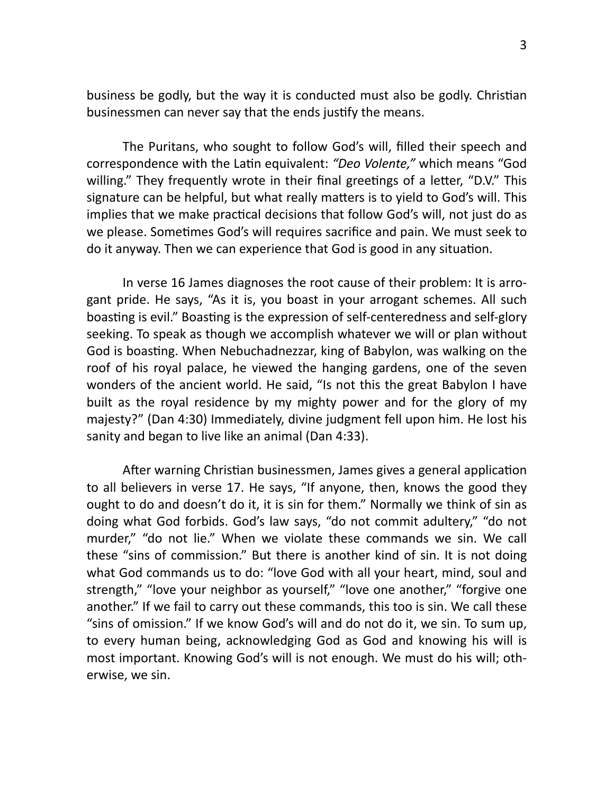business be godly, but the way it is conducted must also be godly. Christian businessmen can never say that the ends justify the means.

The Puritans, who sought to follow God's will, filled their speech and correspondence with the Latin equivalent: "Deo Volente," which means "God willing." They frequently wrote in their final greetings of a letter, "D.V." This signature can be helpful, but what really matters is to yield to God's will. This implies that we make practical decisions that follow God's will, not just do as we please. Sometimes God's will requires sacrifice and pain. We must seek to do it anyway. Then we can experience that God is good in any situation.

In verse 16 James diagnoses the root cause of their problem: It is arrogant pride. He says, "As it is, you boast in your arrogant schemes. All such boasting is evil." Boasting is the expression of self-centeredness and self-glory seeking. To speak as though we accomplish whatever we will or plan without God is boasting. When Nebuchadnezzar, king of Babylon, was walking on the roof of his royal palace, he viewed the hanging gardens, one of the seven wonders of the ancient world. He said, "Is not this the great Babylon I have built as the royal residence by my mighty power and for the glory of my majesty?" (Dan 4:30) Immediately, divine judgment fell upon him. He lost his sanity and began to live like an animal (Dan 4:33).

After warning Christian businessmen, James gives a general application to all believers in verse 17. He says, "If anyone, then, knows the good they ought to do and doesn't do it, it is sin for them." Normally we think of sin as doing what God forbids. God's law says, "do not commit adultery," "do not murder," "do not lie." When we violate these commands we sin. We call these "sins of commission." But there is another kind of sin. It is not doing what God commands us to do: "love God with all your heart, mind, soul and strength," "love your neighbor as yourself," "love one another," "forgive one another." If we fail to carry out these commands, this too is sin. We call these "sins of omission." If we know God's will and do not do it, we sin. To sum up, to every human being, acknowledging God as God and knowing his will is most important. Knowing God's will is not enough. We must do his will; otherwise, we sin.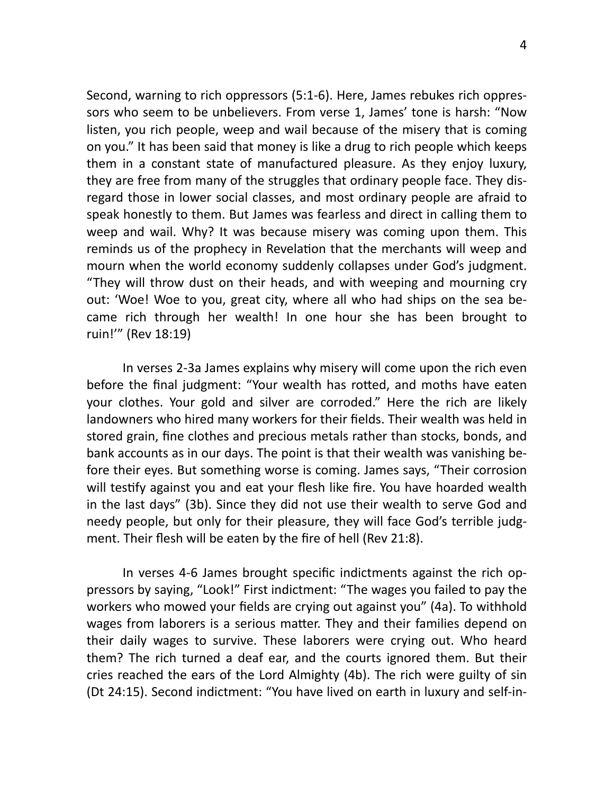Second, warning to rich oppressors (5:1-6). Here, James rebukes rich oppressors who seem to be unbelievers. From verse 1, James' tone is harsh: "Now listen, you rich people, weep and wail because of the misery that is coming on you." It has been said that money is like a drug to rich people which keeps them in a constant state of manufactured pleasure. As they enjoy luxury, they are free from many of the struggles that ordinary people face. They disregard those in lower social classes, and most ordinary people are afraid to speak honestly to them. But James was fearless and direct in calling them to weep and wail. Why? It was because misery was coming upon them. This reminds us of the prophecy in Revelation that the merchants will weep and mourn when the world economy suddenly collapses under God's judgment. "They will throw dust on their heads, and with weeping and mourning cry out: 'Woe! Woe to you, great city, where all who had ships on the sea became rich through her wealth! In one hour she has been brought to ruin!'" (Rev 18:19) 

In verses 2-3a James explains why misery will come upon the rich even before the final judgment: "Your wealth has rotted, and moths have eaten your clothes. Your gold and silver are corroded." Here the rich are likely landowners who hired many workers for their fields. Their wealth was held in stored grain, fine clothes and precious metals rather than stocks, bonds, and bank accounts as in our days. The point is that their wealth was vanishing before their eyes. But something worse is coming. James says, "Their corrosion will testify against you and eat your flesh like fire. You have hoarded wealth in the last days" (3b). Since they did not use their wealth to serve God and needy people, but only for their pleasure, they will face God's terrible judgment. Their flesh will be eaten by the fire of hell (Rev 21:8).

In verses 4-6 James brought specific indictments against the rich oppressors by saying, "Look!" First indictment: "The wages you failed to pay the workers who mowed your fields are crying out against you" (4a). To withhold wages from laborers is a serious matter. They and their families depend on their daily wages to survive. These laborers were crying out. Who heard them? The rich turned a deaf ear, and the courts ignored them. But their cries reached the ears of the Lord Almighty (4b). The rich were guilty of sin (Dt 24:15). Second indictment: "You have lived on earth in luxury and self-in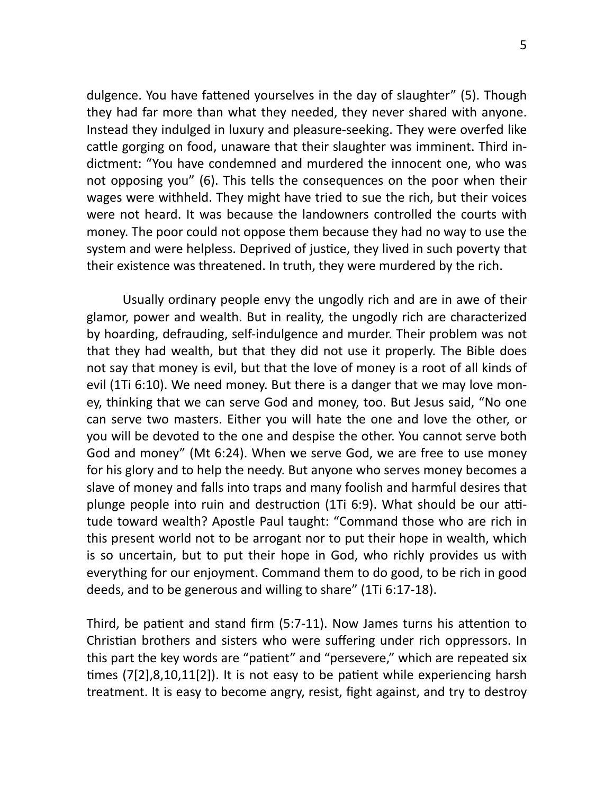dulgence. You have fattened yourselves in the day of slaughter" (5). Though they had far more than what they needed, they never shared with anyone. Instead they indulged in luxury and pleasure-seeking. They were overfed like cattle gorging on food, unaware that their slaughter was imminent. Third indictment: "You have condemned and murdered the innocent one, who was not opposing you" (6). This tells the consequences on the poor when their wages were withheld. They might have tried to sue the rich, but their voices were not heard. It was because the landowners controlled the courts with money. The poor could not oppose them because they had no way to use the system and were helpless. Deprived of justice, they lived in such poverty that their existence was threatened. In truth, they were murdered by the rich.

Usually ordinary people envy the ungodly rich and are in awe of their glamor, power and wealth. But in reality, the ungodly rich are characterized by hoarding, defrauding, self-indulgence and murder. Their problem was not that they had wealth, but that they did not use it properly. The Bible does not say that money is evil, but that the love of money is a root of all kinds of evil (1Ti 6:10). We need money. But there is a danger that we may love money, thinking that we can serve God and money, too. But Jesus said, "No one can serve two masters. Either you will hate the one and love the other, or you will be devoted to the one and despise the other. You cannot serve both God and money" (Mt 6:24). When we serve God, we are free to use money for his glory and to help the needy. But anyone who serves money becomes a slave of money and falls into traps and many foolish and harmful desires that plunge people into ruin and destruction  $(1Ti 6:9)$ . What should be our attitude toward wealth? Apostle Paul taught: "Command those who are rich in this present world not to be arrogant nor to put their hope in wealth, which is so uncertain, but to put their hope in God, who richly provides us with everything for our enjoyment. Command them to do good, to be rich in good deeds, and to be generous and willing to share" (1Ti 6:17-18).

Third, be patient and stand firm  $(5:7-11)$ . Now James turns his attention to Christian brothers and sisters who were suffering under rich oppressors. In this part the key words are "patient" and "persevere," which are repeated six times  $(7[2], 8, 10, 11[2])$ . It is not easy to be patient while experiencing harsh treatment. It is easy to become angry, resist, fight against, and try to destroy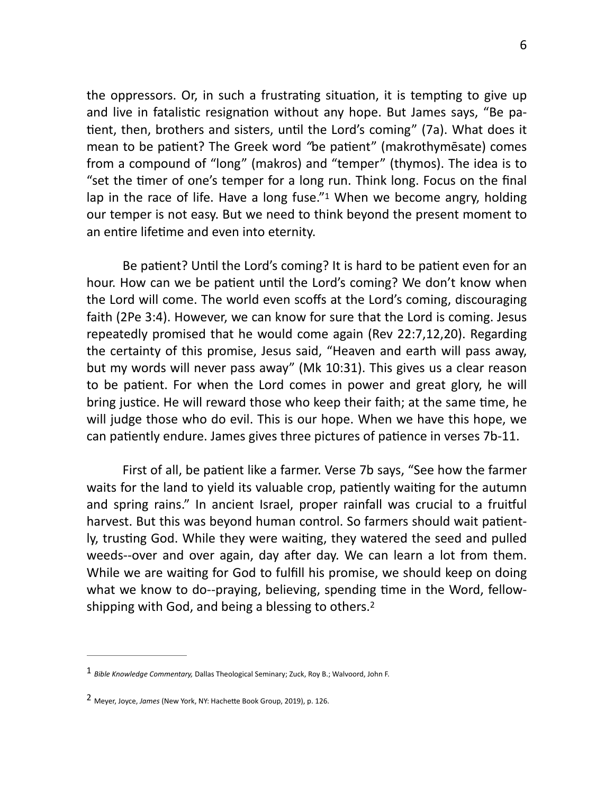the oppressors. Or, in such a frustrating situation, it is tempting to give up and live in fatalistic resignation without any hope. But James says, "Be patient, then, brothers and sisters, until the Lord's coming" (7a). What does it mean to be patient? The Greek word "be patient" (makrothymesate) comes from a compound of "long" (makros) and "temper" (thymos). The idea is to "set the timer of one's temper for a long run. Think long. Focus on the final lap in the race of life. Have a long fuse." When we become angry, holding our temper is not easy. But we need to think beyond the present moment to an entire lifetime and even into eternity.

<span id="page-5-2"></span>Be patient? Until the Lord's coming? It is hard to be patient even for an hour. How can we be patient until the Lord's coming? We don't know when the Lord will come. The world even scoffs at the Lord's coming, discouraging faith (2Pe 3:4). However, we can know for sure that the Lord is coming. Jesus repeatedly promised that he would come again (Rev 22:7,12,20). Regarding the certainty of this promise, Jesus said, "Heaven and earth will pass away, but my words will never pass away" (Mk 10:31). This gives us a clear reason to be patient. For when the Lord comes in power and great glory, he will bring justice. He will reward those who keep their faith; at the same time, he will judge those who do evil. This is our hope. When we have this hope, we can patiently endure. James gives three pictures of patience in verses 7b-11.

First of all, be patient like a farmer. Verse 7b says, "See how the farmer waits for the land to yield its valuable crop, patiently waiting for the autumn and spring rains." In ancient Israel, proper rainfall was crucial to a fruitful harvest. But this was beyond human control. So farmers should wait patiently, trusting God. While they were waiting, they watered the seed and pulled weeds--over and over again, day after day. We can learn a lot from them. While we are waiting for God to fulfill his promise, we should keep on doing what we know to do--praying, believing, spending time in the Word, fellow-shipping with God, and being a blessing to others.<sup>[2](#page-5-1)</sup>

<span id="page-5-3"></span><span id="page-5-0"></span><sup>&</sup>lt;sup>[1](#page-5-2)</sup> Bible Knowledge Commentary, Dallas Theological Seminary; Zuck, Roy B.; Walvoord, John F.

<span id="page-5-1"></span><sup>&</sup>lt;sup>[2](#page-5-3)</sup> Meyer, Joyce, *James* (New York, NY: Hachette Book Group, 2019), p. 126.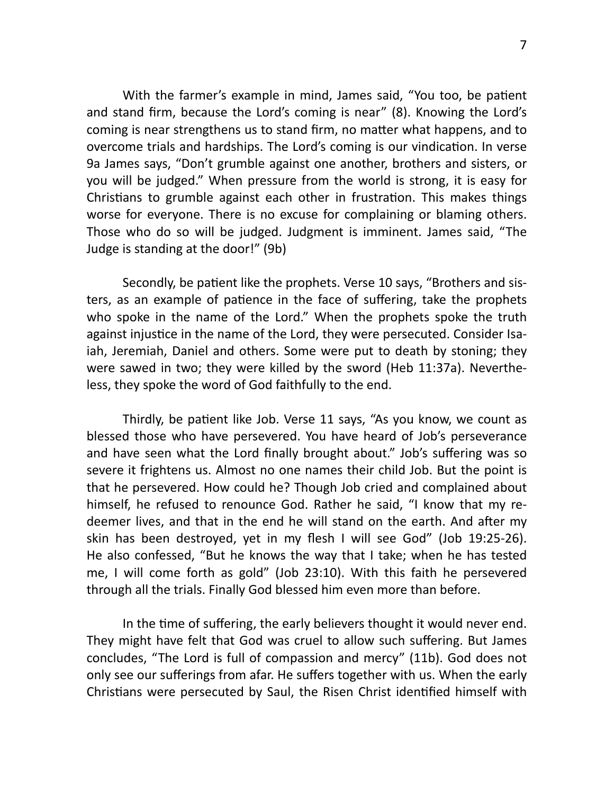With the farmer's example in mind, James said, "You too, be patient and stand firm, because the Lord's coming is near" (8). Knowing the Lord's coming is near strengthens us to stand firm, no matter what happens, and to overcome trials and hardships. The Lord's coming is our vindication. In verse 9a James says, "Don't grumble against one another, brothers and sisters, or you will be judged." When pressure from the world is strong, it is easy for Christians to grumble against each other in frustration. This makes things worse for everyone. There is no excuse for complaining or blaming others. Those who do so will be judged. Judgment is imminent. James said, "The Judge is standing at the door!" (9b)

Secondly, be patient like the prophets. Verse 10 says, "Brothers and sisters, as an example of patience in the face of suffering, take the prophets who spoke in the name of the Lord." When the prophets spoke the truth against injustice in the name of the Lord, they were persecuted. Consider Isaiah, Jeremiah, Daniel and others. Some were put to death by stoning; they were sawed in two; they were killed by the sword (Heb 11:37a). Nevertheless, they spoke the word of God faithfully to the end.

Thirdly, be patient like Job. Verse 11 says, "As you know, we count as blessed those who have persevered. You have heard of Job's perseverance and have seen what the Lord finally brought about." Job's suffering was so severe it frightens us. Almost no one names their child Job. But the point is that he persevered. How could he? Though Job cried and complained about himself, he refused to renounce God. Rather he said, "I know that my redeemer lives, and that in the end he will stand on the earth. And after my skin has been destroyed, yet in my flesh I will see God" (Job 19:25-26). He also confessed, "But he knows the way that I take; when he has tested me, I will come forth as gold" (Job 23:10). With this faith he persevered through all the trials. Finally God blessed him even more than before.

In the time of suffering, the early believers thought it would never end. They might have felt that God was cruel to allow such suffering. But James concludes, "The Lord is full of compassion and mercy" (11b). God does not only see our sufferings from afar. He suffers together with us. When the early Christians were persecuted by Saul, the Risen Christ identified himself with